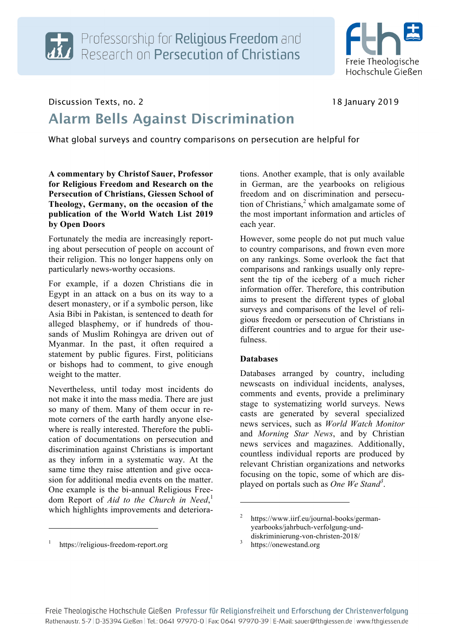

## Discussion Texts, no. 2 18 January 2019

# Alarm Bells Against Discrimination

What global surveys and country comparisons on persecution are helpful for

**A commentary by Christof Sauer, Professor for Religious Freedom and Research on the Persecution of Christians, Giessen School of Theology, Germany, on the occasion of the publication of the World Watch List 2019 by Open Doors**

Fortunately the media are increasingly reporting about persecution of people on account of their religion. This no longer happens only on particularly news-worthy occasions.

For example, if a dozen Christians die in Egypt in an attack on a bus on its way to a desert monastery, or if a symbolic person, like Asia Bibi in Pakistan, is sentenced to death for alleged blasphemy, or if hundreds of thousands of Muslim Rohingya are driven out of Myanmar. In the past, it often required a statement by public figures. First, politicians or bishops had to comment, to give enough weight to the matter.

Nevertheless, until today most incidents do not make it into the mass media. There are just so many of them. Many of them occur in remote corners of the earth hardly anyone elsewhere is really interested. Therefore the publication of documentations on persecution and discrimination against Christians is important as they inform in a systematic way. At the same time they raise attention and give occasion for additional media events on the matter. One example is the bi-annual Religious Freedom Report of *Aid to the Church in Need*, 1 which highlights improvements and deteriora-

https://religious-freedom-report.org

j

tions. Another example, that is only available in German, are the yearbooks on religious freedom and on discrimination and persecution of Christians, $2$  which amalgamate some of the most important information and articles of each year.

However, some people do not put much value to country comparisons, and frown even more on any rankings. Some overlook the fact that comparisons and rankings usually only represent the tip of the iceberg of a much richer information offer. Therefore, this contribution aims to present the different types of global surveys and comparisons of the level of religious freedom or persecution of Christians in different countries and to argue for their usefulness.

### **Databases**

Databases arranged by country, including newscasts on individual incidents, analyses, comments and events, provide a preliminary stage to systematizing world surveys. News casts are generated by several specialized news services, such as *World Watch Monitor* and *Morning Star News*, and by Christian news services and magazines. Additionally, countless individual reports are produced by relevant Christian organizations and networks focusing on the topic, some of which are displayed on portals such as *One We Stand<sup>3</sup>* .

j

https://www.iirf.eu/journal-books/germanyearbooks/jahrbuch-verfolgung-unddiskriminierung-von-christen-2018/<br>https://onewestand.org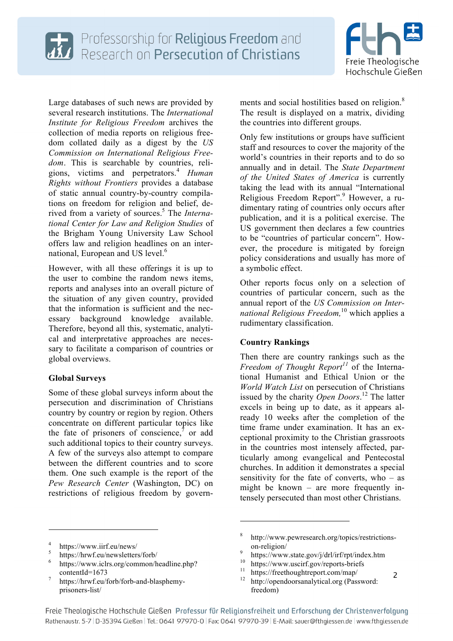



Large databases of such news are provided by several research institutions. The *International Institute for Religious Freedom* archives the collection of media reports on religious freedom collated daily as a digest by the *US Commission on International Religious Freedom*. This is searchable by countries, religions, victims and perpetrators.<sup>4</sup> *Human Rights without Frontiers* provides a database of static annual country-by-country compilations on freedom for religion and belief, derived from a variety of sources.<sup>5</sup> The *International Center for Law and Religion Studies* of the Brigham Young University Law School offers law and religion headlines on an international, European and US level.<sup>6</sup>

However, with all these offerings it is up to the user to combine the random news items, reports and analyses into an overall picture of the situation of any given country, provided that the information is sufficient and the necessary background knowledge available. Therefore, beyond all this, systematic, analytical and interpretative approaches are necessary to facilitate a comparison of countries or global overviews.

## **Global Surveys**

Some of these global surveys inform about the persecution and discrimination of Christians country by country or region by region. Others concentrate on different particular topics like the fate of prisoners of conscience, $\bar{j}$  or add such additional topics to their country surveys. A few of the surveys also attempt to compare between the different countries and to score them. One such example is the report of the *Pew Research Center* (Washington, DC) on restrictions of religious freedom by governments and social hostilities based on religion.<sup>8</sup> The result is displayed on a matrix, dividing the countries into different groups.

Only few institutions or groups have sufficient staff and resources to cover the majority of the world's countries in their reports and to do so annually and in detail. The *State Department of the United States of America* is currently taking the lead with its annual "International Religious Freedom Report".<sup>9</sup> However, a rudimentary rating of countries only occurs after publication, and it is a political exercise. The US government then declares a few countries to be "countries of particular concern". However, the procedure is mitigated by foreign policy considerations and usually has more of a symbolic effect.

Other reports focus only on a selection of countries of particular concern, such as the annual report of the *US Commission on International Religious Freedom,*<sup>10</sup> which applies a rudimentary classification.

### **Country Rankings**

Then there are country rankings such as the *Freedom of Thought Report<sup>11</sup>* of the International Humanist and Ethical Union or the *World Watch List* on persecution of Christians issued by the charity *Open Doors*. <sup>12</sup> The latter excels in being up to date, as it appears already 10 weeks after the completion of the time frame under examination. It has an exceptional proximity to the Christian grassroots in the countries most intensely affected, particularly among evangelical and Pentecostal churches. In addition it demonstrates a special sensitivity for the fate of converts, who  $-$  as might be known – are more frequently intensely persecuted than most other Christians.

j

j

<sup>&</sup>lt;sup>4</sup> https://www.iirf.eu/news/<br>
<sup>5</sup> https://hrwf.eu/newsletters/forb/<br>
<sup>6</sup> https://www.iclrs.org/common/headline.php? contentId=1673<br>https://hrwf.eu/forb/forb-and-blasphemy-

prisoners-list/

<sup>8</sup> http://www.pewresearch.org/topics/restrictions-

<sup>2</sup> on-religion/<br>
9 https://www.state.gov/j/drl/irf/rpt/index.htm<br>
<sup>10</sup> https://www.uscirf.gov/reports-briefs<br>
<sup>11</sup> http://freethoughtreport.com/map/<br>
<sup>12</sup> http://opendoorsanalytical.org (Password: freedom)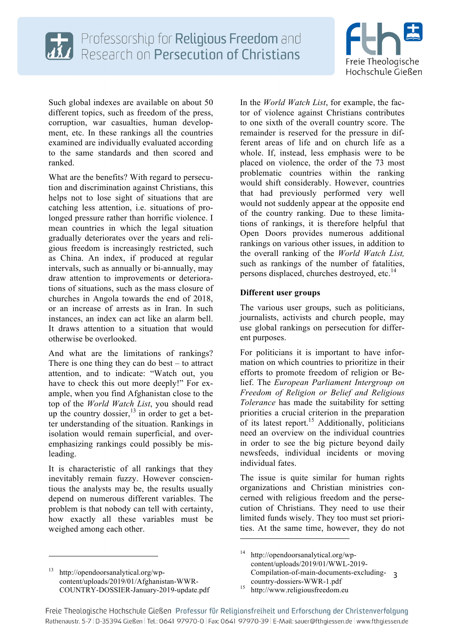



Such global indexes are available on about 50 different topics, such as freedom of the press, corruption, war casualties, human development, etc. In these rankings all the countries examined are individually evaluated according to the same standards and then scored and ranked.

What are the benefits? With regard to persecution and discrimination against Christians, this helps not to lose sight of situations that are catching less attention, i.e. situations of prolonged pressure rather than horrific violence. I mean countries in which the legal situation gradually deteriorates over the years and religious freedom is increasingly restricted, such as China. An index, if produced at regular intervals, such as annually or bi-annually, may draw attention to improvements or deteriorations of situations, such as the mass closure of churches in Angola towards the end of 2018, or an increase of arrests as in Iran. In such instances, an index can act like an alarm bell. It draws attention to a situation that would otherwise be overlooked.

And what are the limitations of rankings? There is one thing they can do best – to attract attention, and to indicate: "Watch out, you have to check this out more deeply!" For example, when you find Afghanistan close to the top of the *World Watch List*, you should read up the country dossier,  $13$  in order to get a better understanding of the situation. Rankings in isolation would remain superficial, and overemphasizing rankings could possibly be misleading.

It is characteristic of all rankings that they inevitably remain fuzzy. However conscientious the analysts may be, the results usually depend on numerous different variables. The problem is that nobody can tell with certainty, how exactly all these variables must be weighed among each other.

<sup>13</sup> http://opendoorsanalytical.org/wpcontent/uploads/2019/01/Afghanistan-WWR-COUNTRY-DOSSIER-January-2019-update.pdf

j

In the *World Watch List*, for example, the factor of violence against Christians contributes to one sixth of the overall country score. The remainder is reserved for the pressure in different areas of life and on church life as a whole. If, instead, less emphasis were to be placed on violence, the order of the 73 most problematic countries within the ranking would shift considerably. However, countries that had previously performed very well would not suddenly appear at the opposite end of the country ranking. Due to these limitations of rankings, it is therefore helpful that Open Doors provides numerous additional rankings on various other issues, in addition to the overall ranking of the *World Watch List,* such as rankings of the number of fatalities, persons displaced, churches destroyed, etc.<sup>14</sup>

## **Different user groups**

The various user groups, such as politicians, journalists, activists and church people, may use global rankings on persecution for different purposes.

For politicians it is important to have information on which countries to prioritize in their efforts to promote freedom of religion or Belief. The *European Parliament Intergroup on Freedom of Religion or Belief and Religious Tolerance* has made the suitability for setting priorities a crucial criterion in the preparation of its latest report.<sup>15</sup> Additionally, politicians need an overview on the individual countries in order to see the big picture beyond daily newsfeeds, individual incidents or moving individual fates.

The issue is quite similar for human rights organizations and Christian ministries concerned with religious freedom and the persecution of Christians. They need to use their limited funds wisely. They too must set priorities. At the same time, however, they do not

j

<sup>3</sup> Compilation-of-main-documents-excludinghttp://opendoorsanalytical.org/wpcontent/uploads/2019/01/WWL-2019 country-dossiers-WWR-1.pdf<br><sup>15</sup> http://www.religiousfreedom.eu